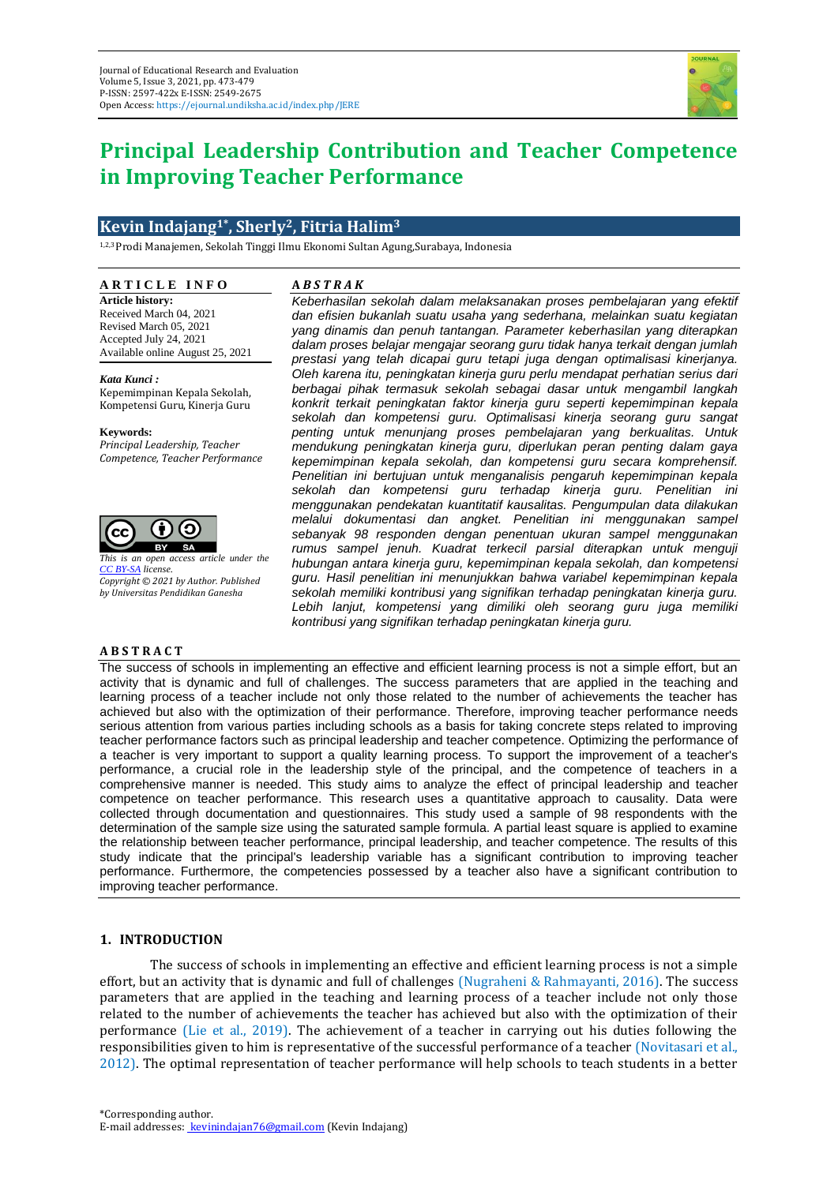

# **Principal Leadership Contribution and Teacher Competence in Improving Teacher Performance**

# **Kevin Indajang1\* , Sherly2, Fitria Halim<sup>3</sup>**

1,2,3Prodi Manajemen, Sekolah Tinggi Ilmu Ekonomi Sultan Agung,Surabaya, Indonesia

## **A R T I C L E I N F O**

**Article history:** Received March 04, 2021 Revised March 05, 2021 Accepted July 24, 2021 Available online August 25, 2021

*Kata Kunci :* Kepemimpinan Kepala Sekolah, Kompetensi Guru, Kinerja Guru

#### **Keywords:**

*Principal Leadership, Teacher Competence, Teacher Performance*



*This is an open access article under the [CC BY-SA](https://creativecommons.org/licenses/by-sa/4.0/) license. Copyright © 2021 by Author. Published by Universitas Pendidikan Ganesha*

### **A B S T R A C T**

## **A** *B S T R A K*

*Keberhasilan sekolah dalam melaksanakan proses pembelajaran yang efektif dan efisien bukanlah suatu usaha yang sederhana, melainkan suatu kegiatan yang dinamis dan penuh tantangan. Parameter keberhasilan yang diterapkan dalam proses belajar mengajar seorang guru tidak hanya terkait dengan jumlah prestasi yang telah dicapai guru tetapi juga dengan optimalisasi kinerjanya. Oleh karena itu, peningkatan kinerja guru perlu mendapat perhatian serius dari berbagai pihak termasuk sekolah sebagai dasar untuk mengambil langkah konkrit terkait peningkatan faktor kinerja guru seperti kepemimpinan kepala sekolah dan kompetensi guru. Optimalisasi kinerja seorang guru sangat penting untuk menunjang proses pembelajaran yang berkualitas. Untuk mendukung peningkatan kinerja guru, diperlukan peran penting dalam gaya kepemimpinan kepala sekolah, dan kompetensi guru secara komprehensif. Penelitian ini bertujuan untuk menganalisis pengaruh kepemimpinan kepala sekolah dan kompetensi guru terhadap kinerja guru. Penelitian ini menggunakan pendekatan kuantitatif kausalitas. Pengumpulan data dilakukan melalui dokumentasi dan angket. Penelitian ini menggunakan sampel sebanyak 98 responden dengan penentuan ukuran sampel menggunakan rumus sampel jenuh. Kuadrat terkecil parsial diterapkan untuk menguji hubungan antara kinerja guru, kepemimpinan kepala sekolah, dan kompetensi guru. Hasil penelitian ini menunjukkan bahwa variabel kepemimpinan kepala sekolah memiliki kontribusi yang signifikan terhadap peningkatan kinerja guru. Lebih lanjut, kompetensi yang dimiliki oleh seorang guru juga memiliki kontribusi yang signifikan terhadap peningkatan kinerja guru.*

The success of schools in implementing an effective and efficient learning process is not a simple effort, but an activity that is dynamic and full of challenges. The success parameters that are applied in the teaching and learning process of a teacher include not only those related to the number of achievements the teacher has achieved but also with the optimization of their performance. Therefore, improving teacher performance needs serious attention from various parties including schools as a basis for taking concrete steps related to improving teacher performance factors such as principal leadership and teacher competence. Optimizing the performance of a teacher is very important to support a quality learning process. To support the improvement of a teacher's performance, a crucial role in the leadership style of the principal, and the competence of teachers in a comprehensive manner is needed. This study aims to analyze the effect of principal leadership and teacher competence on teacher performance. This research uses a quantitative approach to causality. Data were collected through documentation and questionnaires. This study used a sample of 98 respondents with the determination of the sample size using the saturated sample formula. A partial least square is applied to examine the relationship between teacher performance, principal leadership, and teacher competence. The results of this study indicate that the principal's leadership variable has a significant contribution to improving teacher performance. Furthermore, the competencies possessed by a teacher also have a significant contribution to improving teacher performance.

# **1. INTRODUCTION**

The success of schools in implementing an effective and efficient learning process is not a simple effort, but an activity that is dynamic and full of challenges (Nugraheni & Rahmayanti, 2016). The success parameters that are applied in the teaching and learning process of a teacher include not only those related to the number of achievements the teacher has achieved but also with the optimization of their performance (Lie et al., 2019). The achievement of a teacher in carrying out his duties following the responsibilities given to him is representative of the successful performance of a teacher (Novitasari et al., 2012). The optimal representation of teacher performance will help schools to teach students in a better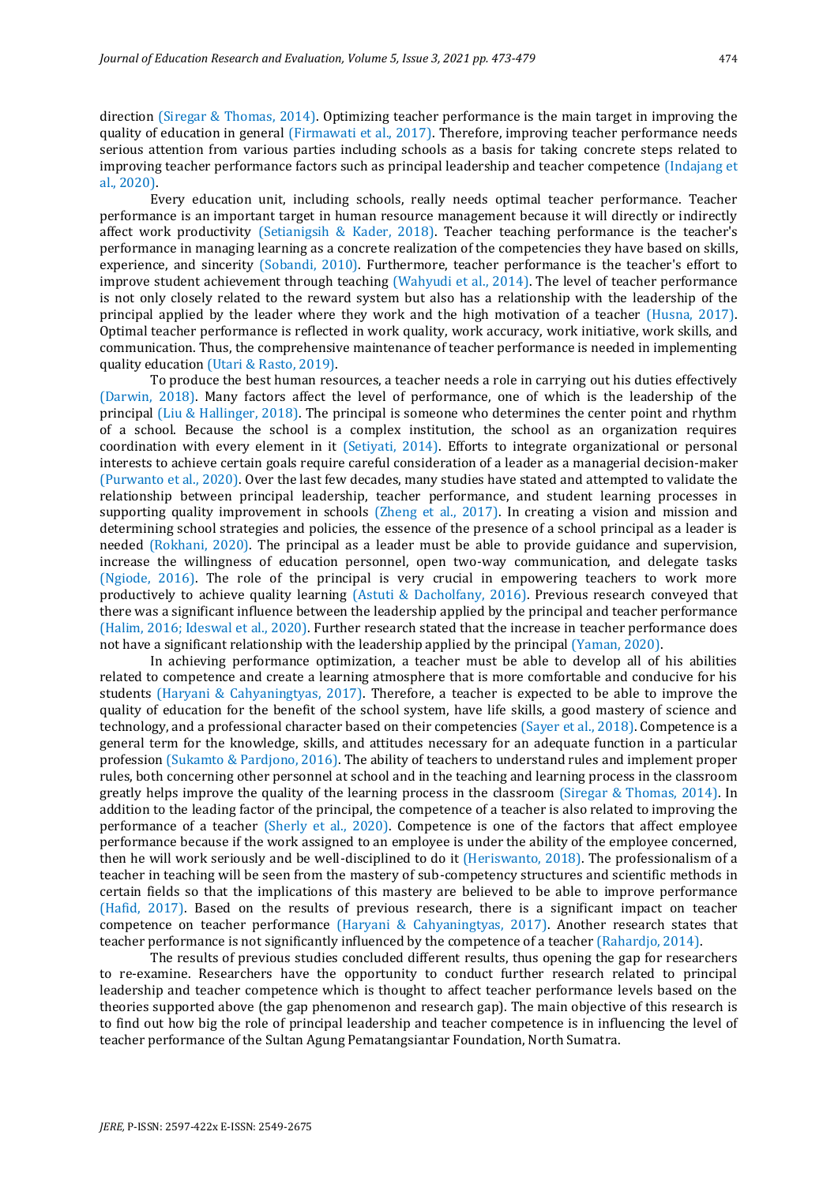direction (Siregar & Thomas, 2014). Optimizing teacher performance is the main target in improving the quality of education in general (Firmawati et al., 2017). Therefore, improving teacher performance needs serious attention from various parties including schools as a basis for taking concrete steps related to improving teacher performance factors such as principal leadership and teacher competence (Indajang et al., 2020).

Every education unit, including schools, really needs optimal teacher performance. Teacher performance is an important target in human resource management because it will directly or indirectly affect work productivity (Setianigsih & Kader, 2018). Teacher teaching performance is the teacher's performance in managing learning as a concrete realization of the competencies they have based on skills, experience, and sincerity (Sobandi, 2010). Furthermore, teacher performance is the teacher's effort to improve student achievement through teaching (Wahyudi et al., 2014). The level of teacher performance is not only closely related to the reward system but also has a relationship with the leadership of the principal applied by the leader where they work and the high motivation of a teacher (Husna, 2017). Optimal teacher performance is reflected in work quality, work accuracy, work initiative, work skills, and communication. Thus, the comprehensive maintenance of teacher performance is needed in implementing quality education (Utari & Rasto, 2019).

To produce the best human resources, a teacher needs a role in carrying out his duties effectively (Darwin, 2018). Many factors affect the level of performance, one of which is the leadership of the principal (Liu & Hallinger, 2018). The principal is someone who determines the center point and rhythm of a school. Because the school is a complex institution, the school as an organization requires coordination with every element in it (Setiyati, 2014). Efforts to integrate organizational or personal interests to achieve certain goals require careful consideration of a leader as a managerial decision-maker (Purwanto et al., 2020). Over the last few decades, many studies have stated and attempted to validate the relationship between principal leadership, teacher performance, and student learning processes in supporting quality improvement in schools (Zheng et al., 2017). In creating a vision and mission and determining school strategies and policies, the essence of the presence of a school principal as a leader is needed (Rokhani, 2020). The principal as a leader must be able to provide guidance and supervision, increase the willingness of education personnel, open two-way communication, and delegate tasks (Ngiode, 2016). The role of the principal is very crucial in empowering teachers to work more productively to achieve quality learning (Astuti & Dacholfany, 2016). Previous research conveyed that there was a significant influence between the leadership applied by the principal and teacher performance (Halim, 2016; Ideswal et al., 2020). Further research stated that the increase in teacher performance does not have a significant relationship with the leadership applied by the principal (Yaman, 2020).

In achieving performance optimization, a teacher must be able to develop all of his abilities related to competence and create a learning atmosphere that is more comfortable and conducive for his students (Haryani & Cahyaningtyas, 2017). Therefore, a teacher is expected to be able to improve the quality of education for the benefit of the school system, have life skills, a good mastery of science and technology, and a professional character based on their competencies (Sayer et al., 2018). Competence is a general term for the knowledge, skills, and attitudes necessary for an adequate function in a particular profession (Sukamto & Pardjono, 2016). The ability of teachers to understand rules and implement proper rules, both concerning other personnel at school and in the teaching and learning process in the classroom greatly helps improve the quality of the learning process in the classroom (Siregar & Thomas, 2014). In addition to the leading factor of the principal, the competence of a teacher is also related to improving the performance of a teacher (Sherly et al., 2020). Competence is one of the factors that affect employee performance because if the work assigned to an employee is under the ability of the employee concerned, then he will work seriously and be well-disciplined to do it (Heriswanto, 2018). The professionalism of a teacher in teaching will be seen from the mastery of sub-competency structures and scientific methods in certain fields so that the implications of this mastery are believed to be able to improve performance (Hafid, 2017). Based on the results of previous research, there is a significant impact on teacher competence on teacher performance (Haryani & Cahyaningtyas, 2017). Another research states that teacher performance is not significantly influenced by the competence of a teacher (Rahardjo, 2014).

The results of previous studies concluded different results, thus opening the gap for researchers to re-examine. Researchers have the opportunity to conduct further research related to principal leadership and teacher competence which is thought to affect teacher performance levels based on the theories supported above (the gap phenomenon and research gap). The main objective of this research is to find out how big the role of principal leadership and teacher competence is in influencing the level of teacher performance of the Sultan Agung Pematangsiantar Foundation, North Sumatra.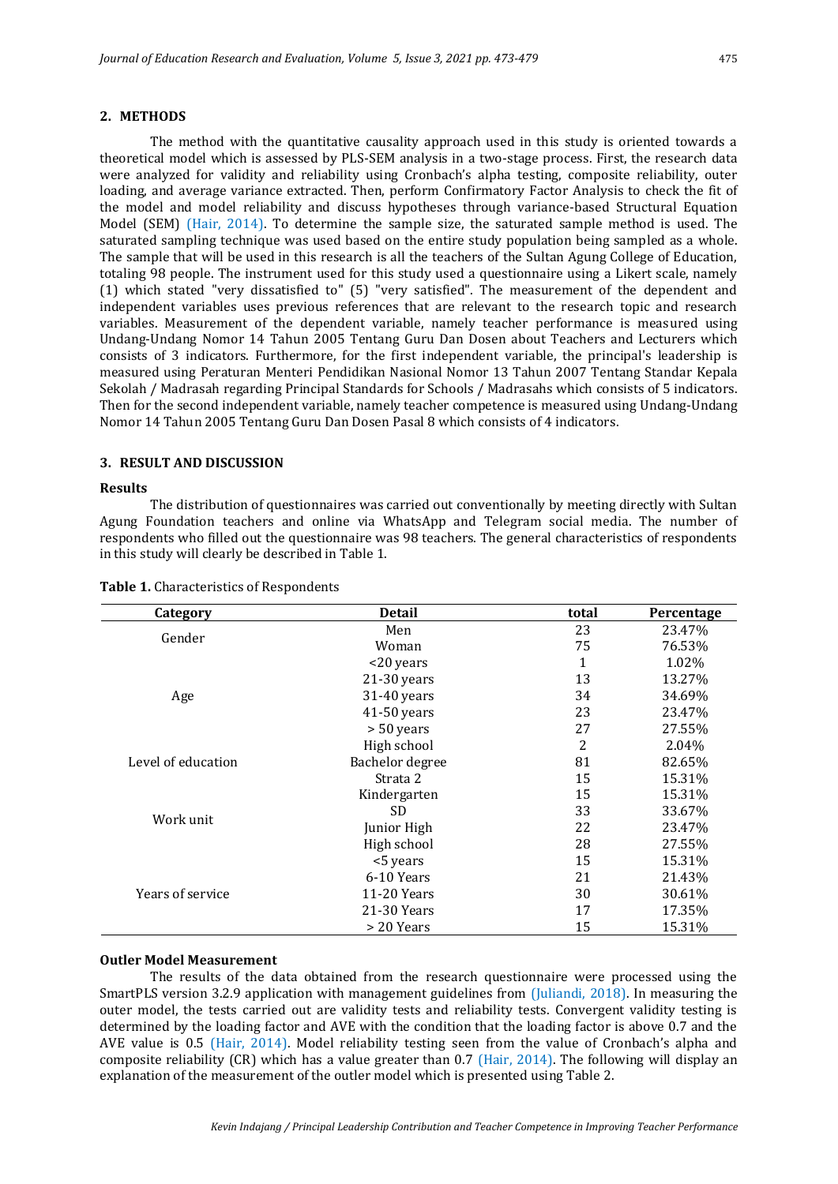# **2. METHODS**

The method with the quantitative causality approach used in this study is oriented towards a theoretical model which is assessed by PLS-SEM analysis in a two-stage process. First, the research data were analyzed for validity and reliability using Cronbach's alpha testing, composite reliability, outer loading, and average variance extracted. Then, perform Confirmatory Factor Analysis to check the fit of the model and model reliability and discuss hypotheses through variance-based Structural Equation Model (SEM) (Hair, 2014). To determine the sample size, the saturated sample method is used. The saturated sampling technique was used based on the entire study population being sampled as a whole. The sample that will be used in this research is all the teachers of the Sultan Agung College of Education, totaling 98 people. The instrument used for this study used a questionnaire using a Likert scale, namely (1) which stated "very dissatisfied to" (5) "very satisfied". The measurement of the dependent and independent variables uses previous references that are relevant to the research topic and research variables. Measurement of the dependent variable, namely teacher performance is measured using Undang-Undang Nomor 14 Tahun 2005 Tentang Guru Dan Dosen about Teachers and Lecturers which consists of 3 indicators. Furthermore, for the first independent variable, the principal's leadership is measured using Peraturan Menteri Pendidikan Nasional Nomor 13 Tahun 2007 Tentang Standar Kepala Sekolah / Madrasah regarding Principal Standards for Schools / Madrasahs which consists of 5 indicators. Then for the second independent variable, namely teacher competence is measured using Undang-Undang Nomor 14 Tahun 2005 Tentang Guru Dan Dosen Pasal 8 which consists of 4 indicators.

## **3. RESULT AND DISCUSSION**

#### **Results**

The distribution of questionnaires was carried out conventionally by meeting directly with Sultan Agung Foundation teachers and online via WhatsApp and Telegram social media. The number of respondents who filled out the questionnaire was 98 teachers. The general characteristics of respondents in this study will clearly be described in Table 1.

| Category           | <b>Detail</b>                                                                      | total                                                                                            | Percentage |
|--------------------|------------------------------------------------------------------------------------|--------------------------------------------------------------------------------------------------|------------|
| Gender             | Men                                                                                | 23                                                                                               | 23.47%     |
|                    | Woman                                                                              | 75                                                                                               | 76.53%     |
|                    | <20 years                                                                          | 1<br>13<br>34<br>23<br>27<br>2<br>81<br>15<br>15<br>33<br>22<br>28<br>15<br>21<br>30<br>17<br>15 | 1.02%      |
|                    | $21-30$ years                                                                      |                                                                                                  | 13.27%     |
| Age                | 31-40 years                                                                        |                                                                                                  | 34.69%     |
|                    | $41-50$ years                                                                      |                                                                                                  | 23.47%     |
|                    | $> 50$ years                                                                       |                                                                                                  | 27.55%     |
|                    | High school                                                                        |                                                                                                  | 2.04%      |
| Level of education | Bachelor degree                                                                    |                                                                                                  | 82.65%     |
|                    | Strata 2                                                                           |                                                                                                  | 15.31%     |
|                    | Kindergarten                                                                       |                                                                                                  | 15.31%     |
| Work unit          | SD.                                                                                |                                                                                                  | 33.67%     |
|                    | Junior High<br>High school<br><5 years<br>6-10 Years<br>11-20 Years<br>21-30 Years | 23.47%                                                                                           |            |
|                    |                                                                                    |                                                                                                  | 27.55%     |
|                    |                                                                                    |                                                                                                  | 15.31%     |
|                    |                                                                                    |                                                                                                  | 21.43%     |
| Years of service   |                                                                                    | 30.61%                                                                                           |            |
|                    |                                                                                    |                                                                                                  | 17.35%     |
|                    | > 20 Years                                                                         |                                                                                                  | 15.31%     |

## **Table 1.** Characteristics of Respondents

#### **Outler Model Measurement**

The results of the data obtained from the research questionnaire were processed using the SmartPLS version 3.2.9 application with management guidelines from (Juliandi, 2018). In measuring the outer model, the tests carried out are validity tests and reliability tests. Convergent validity testing is determined by the loading factor and AVE with the condition that the loading factor is above 0.7 and the AVE value is 0.5 (Hair, 2014). Model reliability testing seen from the value of Cronbach's alpha and composite reliability (CR) which has a value greater than 0.7 (Hair, 2014). The following will display an explanation of the measurement of the outler model which is presented using Table 2.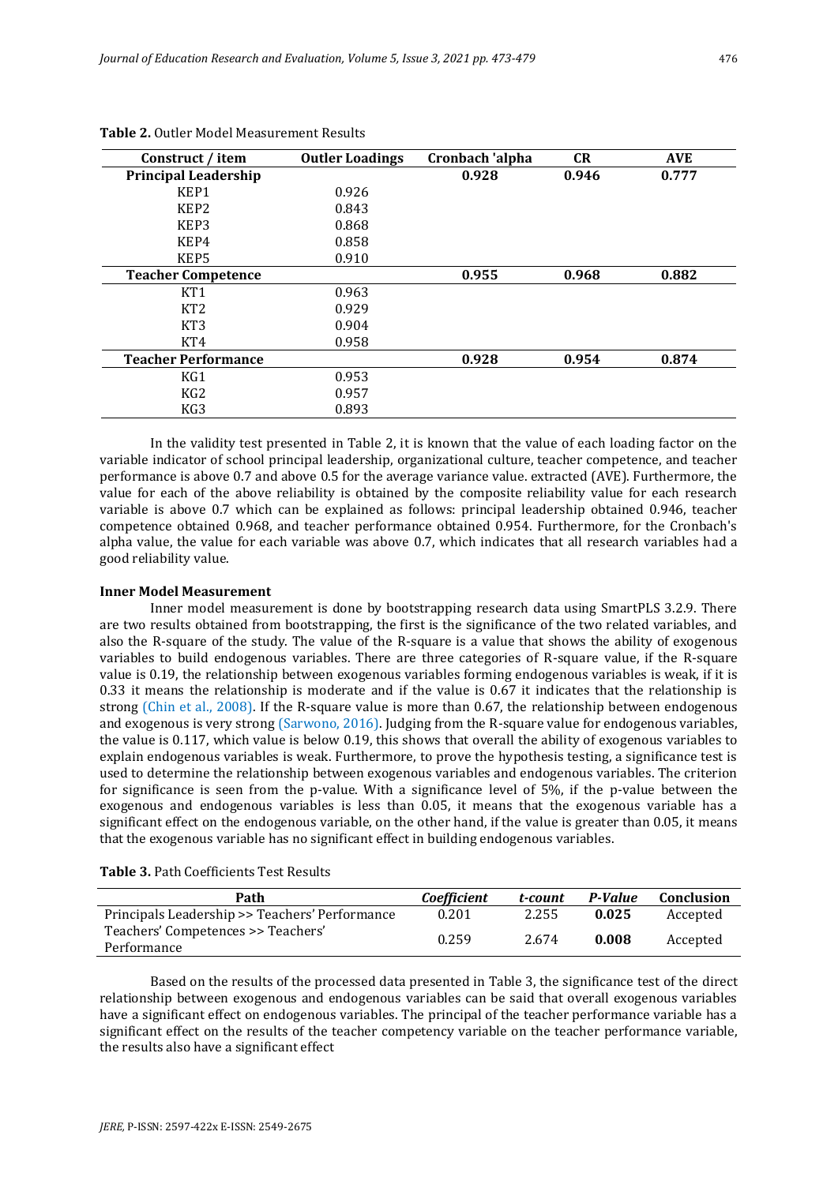| Construct / item            | <b>Outler Loadings</b> | Cronbach 'alpha | <b>CR</b> | <b>AVE</b> |
|-----------------------------|------------------------|-----------------|-----------|------------|
| <b>Principal Leadership</b> |                        | 0.928           | 0.946     | 0.777      |
| KEP1                        | 0.926                  |                 |           |            |
| KEP <sub>2</sub>            | 0.843                  |                 |           |            |
| KEP3                        | 0.868                  |                 |           |            |
| KEP4                        | 0.858                  |                 |           |            |
| KEP5                        | 0.910                  |                 |           |            |
| <b>Teacher Competence</b>   |                        | 0.955           | 0.968     | 0.882      |
| KT1                         | 0.963                  |                 |           |            |
| KT <sub>2</sub>             | 0.929                  |                 |           |            |
| KT <sub>3</sub>             | 0.904                  |                 |           |            |
| KT4                         | 0.958                  |                 |           |            |
| <b>Teacher Performance</b>  |                        | 0.928           | 0.954     | 0.874      |
| KG1                         | 0.953                  |                 |           |            |
| KG <sub>2</sub>             | 0.957                  |                 |           |            |
| KG3                         | 0.893                  |                 |           |            |

#### **Table 2.** Outler Model Measurement Results

In the validity test presented in Table 2, it is known that the value of each loading factor on the variable indicator of school principal leadership, organizational culture, teacher competence, and teacher performance is above 0.7 and above 0.5 for the average variance value. extracted (AVE). Furthermore, the value for each of the above reliability is obtained by the composite reliability value for each research variable is above 0.7 which can be explained as follows: principal leadership obtained 0.946, teacher competence obtained 0.968, and teacher performance obtained 0.954. Furthermore, for the Cronbach's alpha value, the value for each variable was above 0.7, which indicates that all research variables had a good reliability value.

#### **Inner Model Measurement**

Inner model measurement is done by bootstrapping research data using SmartPLS 3.2.9. There are two results obtained from bootstrapping, the first is the significance of the two related variables, and also the R-square of the study. The value of the R-square is a value that shows the ability of exogenous variables to build endogenous variables. There are three categories of R-square value, if the R-square value is 0.19, the relationship between exogenous variables forming endogenous variables is weak, if it is 0.33 it means the relationship is moderate and if the value is 0.67 it indicates that the relationship is strong (Chin et al., 2008). If the R-square value is more than 0.67, the relationship between endogenous and exogenous is very strong (Sarwono, 2016). Judging from the R-square value for endogenous variables, the value is 0.117, which value is below 0.19, this shows that overall the ability of exogenous variables to explain endogenous variables is weak. Furthermore, to prove the hypothesis testing, a significance test is used to determine the relationship between exogenous variables and endogenous variables. The criterion for significance is seen from the p-value. With a significance level of 5%, if the p-value between the exogenous and endogenous variables is less than 0.05, it means that the exogenous variable has a significant effect on the endogenous variable, on the other hand, if the value is greater than 0.05, it means that the exogenous variable has no significant effect in building endogenous variables.

| Path                                              | <i>Coefficient</i> | t-count | P-Value | Conclusion |
|---------------------------------------------------|--------------------|---------|---------|------------|
| Principals Leadership >> Teachers' Performance    | 0.201              | 2.255   | 0.025   | Accepted   |
| Teachers' Competences >> Teachers'<br>Performance | 0.259              | 2.674   | 0.008   | Accepted   |

Based on the results of the processed data presented in Table 3, the significance test of the direct relationship between exogenous and endogenous variables can be said that overall exogenous variables have a significant effect on endogenous variables. The principal of the teacher performance variable has a significant effect on the results of the teacher competency variable on the teacher performance variable, the results also have a significant effect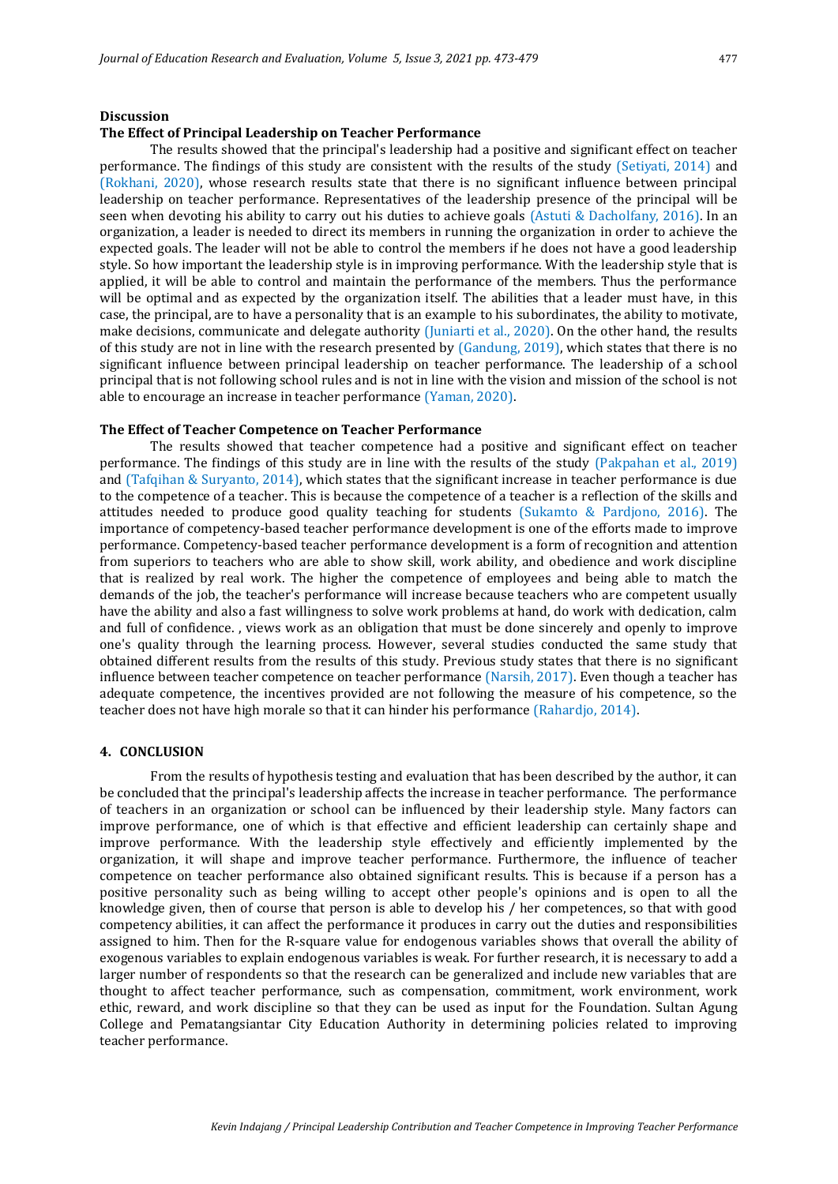## **Discussion**

## **The Effect of Principal Leadership on Teacher Performance**

The results showed that the principal's leadership had a positive and significant effect on teacher performance. The findings of this study are consistent with the results of the study (Setiyati, 2014) and (Rokhani, 2020), whose research results state that there is no significant influence between principal leadership on teacher performance. Representatives of the leadership presence of the principal will be seen when devoting his ability to carry out his duties to achieve goals (Astuti & Dacholfany, 2016). In an organization, a leader is needed to direct its members in running the organization in order to achieve the expected goals. The leader will not be able to control the members if he does not have a good leadership style. So how important the leadership style is in improving performance. With the leadership style that is applied, it will be able to control and maintain the performance of the members. Thus the performance will be optimal and as expected by the organization itself. The abilities that a leader must have, in this case, the principal, are to have a personality that is an example to his subordinates, the ability to motivate, make decisions, communicate and delegate authority (Juniarti et al., 2020). On the other hand, the results of this study are not in line with the research presented by (Gandung, 2019), which states that there is no significant influence between principal leadership on teacher performance. The leadership of a school principal that is not following school rules and is not in line with the vision and mission of the school is not able to encourage an increase in teacher performance (Yaman, 2020).

#### **The Effect of Teacher Competence on Teacher Performance**

The results showed that teacher competence had a positive and significant effect on teacher performance. The findings of this study are in line with the results of the study (Pakpahan et al., 2019) and (Tafqihan & Suryanto, 2014), which states that the significant increase in teacher performance is due to the competence of a teacher. This is because the competence of a teacher is a reflection of the skills and attitudes needed to produce good quality teaching for students (Sukamto & Pardjono, 2016). The importance of competency-based teacher performance development is one of the efforts made to improve performance. Competency-based teacher performance development is a form of recognition and attention from superiors to teachers who are able to show skill, work ability, and obedience and work discipline that is realized by real work. The higher the competence of employees and being able to match the demands of the job, the teacher's performance will increase because teachers who are competent usually have the ability and also a fast willingness to solve work problems at hand, do work with dedication, calm and full of confidence. , views work as an obligation that must be done sincerely and openly to improve one's quality through the learning process. However, several studies conducted the same study that obtained different results from the results of this study. Previous study states that there is no significant influence between teacher competence on teacher performance (Narsih, 2017). Even though a teacher has adequate competence, the incentives provided are not following the measure of his competence, so the teacher does not have high morale so that it can hinder his performance (Rahardjo, 2014).

#### **4. CONCLUSION**

From the results of hypothesis testing and evaluation that has been described by the author, it can be concluded that the principal's leadership affects the increase in teacher performance. The performance of teachers in an organization or school can be influenced by their leadership style. Many factors can improve performance, one of which is that effective and efficient leadership can certainly shape and improve performance. With the leadership style effectively and efficiently implemented by the organization, it will shape and improve teacher performance. Furthermore, the influence of teacher competence on teacher performance also obtained significant results. This is because if a person has a positive personality such as being willing to accept other people's opinions and is open to all the knowledge given, then of course that person is able to develop his / her competences, so that with good competency abilities, it can affect the performance it produces in carry out the duties and responsibilities assigned to him. Then for the R-square value for endogenous variables shows that overall the ability of exogenous variables to explain endogenous variables is weak. For further research, it is necessary to add a larger number of respondents so that the research can be generalized and include new variables that are thought to affect teacher performance, such as compensation, commitment, work environment, work ethic, reward, and work discipline so that they can be used as input for the Foundation. Sultan Agung College and Pematangsiantar City Education Authority in determining policies related to improving teacher performance.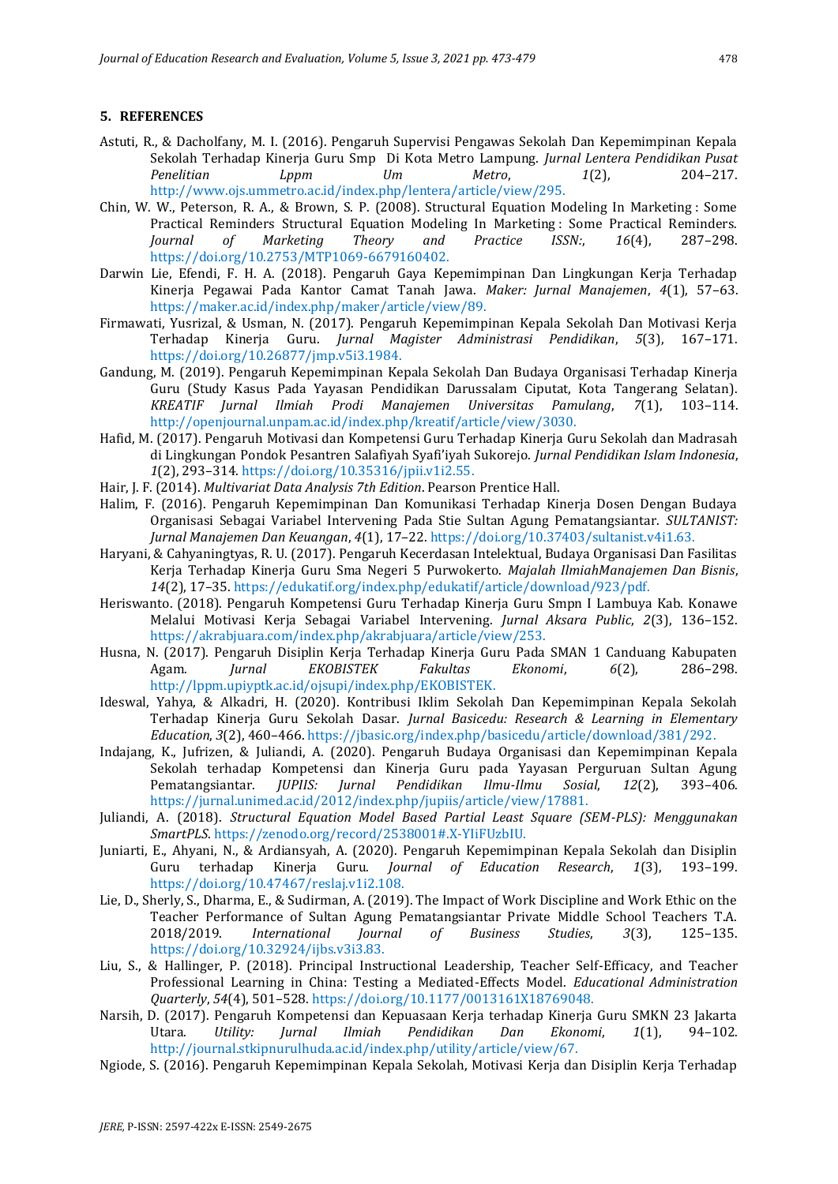## **5. REFERENCES**

- Astuti, R., & Dacholfany, M. I. (2016). Pengaruh Supervisi Pengawas Sekolah Dan Kepemimpinan Kepala Sekolah Terhadap Kinerja Guru Smp Di Kota Metro Lampung. *Jurnal Lentera Pendidikan Pusat Penelitian Lppm Um Metro*, *1*(2), 204–217. http://www.ojs.ummetro.ac.id/index.php/lentera/article/view/295.
- Chin, W. W., Peterson, R. A., & Brown, S. P. (2008). Structural Equation Modeling In Marketing : Some Practical Reminders Structural Equation Modeling In Marketing : Some Practical Reminders. *Journal of Marketing Theory and Practice ISSN:*, *16*(4), 287–298. https://doi.org/10.2753/MTP1069-6679160402.
- Darwin Lie, Efendi, F. H. A. (2018). Pengaruh Gaya Kepemimpinan Dan Lingkungan Kerja Terhadap Kinerja Pegawai Pada Kantor Camat Tanah Jawa. *Maker: Jurnal Manajemen*, *4*(1), 57–63. https://maker.ac.id/index.php/maker/article/view/89.
- Firmawati, Yusrizal, & Usman, N. (2017). Pengaruh Kepemimpinan Kepala Sekolah Dan Motivasi Kerja Terhadap Kinerja Guru. *Jurnal Magister Administrasi Pendidikan*, *5*(3), 167–171. https://doi.org/10.26877/jmp.v5i3.1984.
- Gandung, M. (2019). Pengaruh Kepemimpinan Kepala Sekolah Dan Budaya Organisasi Terhadap Kinerja Guru (Study Kasus Pada Yayasan Pendidikan Darussalam Ciputat, Kota Tangerang Selatan). *KREATIF Jurnal Ilmiah Prodi Manajemen Universitas Pamulang*, *7*(1), 103–114. http://openjournal.unpam.ac.id/index.php/kreatif/article/view/3030.
- Hafid, M. (2017). Pengaruh Motivasi dan Kompetensi Guru Terhadap Kinerja Guru Sekolah dan Madrasah di Lingkungan Pondok Pesantren Salafiyah Syafi'iyah Sukorejo. *Jurnal Pendidikan Islam Indonesia*, *1*(2), 293–314. https://doi.org/10.35316/jpii.v1i2.55.
- Hair, J. F. (2014). *Multivariat Data Analysis 7th Edition*. Pearson Prentice Hall.
- Halim, F. (2016). Pengaruh Kepemimpinan Dan Komunikasi Terhadap Kinerja Dosen Dengan Budaya Organisasi Sebagai Variabel Intervening Pada Stie Sultan Agung Pematangsiantar. *SULTANIST: Jurnal Manajemen Dan Keuangan*, *4*(1), 17–22. https://doi.org/10.37403/sultanist.v4i1.63.
- Haryani, & Cahyaningtyas, R. U. (2017). Pengaruh Kecerdasan Intelektual, Budaya Organisasi Dan Fasilitas Kerja Terhadap Kinerja Guru Sma Negeri 5 Purwokerto. *Majalah IlmiahManajemen Dan Bisnis*, *14*(2), 17–35. https://edukatif.org/index.php/edukatif/article/download/923/pdf.
- Heriswanto. (2018). Pengaruh Kompetensi Guru Terhadap Kinerja Guru Smpn I Lambuya Kab. Konawe Melalui Motivasi Kerja Sebagai Variabel Intervening. *Jurnal Aksara Public*, *2*(3), 136–152. https://akrabjuara.com/index.php/akrabjuara/article/view/253.
- Husna, N. (2017). Pengaruh Disiplin Kerja Terhadap Kinerja Guru Pada SMAN 1 Canduang Kabupaten Agam. *Jurnal EKOBISTEK Fakultas Ekonomi*, *6*(2), 286–298. http://lppm.upiyptk.ac.id/ojsupi/index.php/EKOBISTEK.
- Ideswal, Yahya, & Alkadri, H. (2020). Kontribusi Iklim Sekolah Dan Kepemimpinan Kepala Sekolah Terhadap Kinerja Guru Sekolah Dasar. *Jurnal Basicedu: Research & Learning in Elementary Education*, *3*(2), 460–466. https://jbasic.org/index.php/basicedu/article/download/381/292.
- Indajang, K., Jufrizen, & Juliandi, A. (2020). Pengaruh Budaya Organisasi dan Kepemimpinan Kepala Sekolah terhadap Kompetensi dan Kinerja Guru pada Yayasan Perguruan Sultan Agung Pematangsiantar. *JUPIIS: Jurnal Pendidikan Ilmu-Ilmu Sosial*, *12*(2), 393–406. https://jurnal.unimed.ac.id/2012/index.php/jupiis/article/view/17881.
- Juliandi, A. (2018). *Structural Equation Model Based Partial Least Square (SEM-PLS): Menggunakan SmartPLS*. https://zenodo.org/record/2538001#.X-YIiFUzbIU.
- Juniarti, E., Ahyani, N., & Ardiansyah, A. (2020). Pengaruh Kepemimpinan Kepala Sekolah dan Disiplin Guru terhadap Kinerja Guru. *Journal of Education Research*, *1*(3), 193–199. https://doi.org/10.47467/reslaj.v1i2.108.
- Lie, D., Sherly, S., Dharma, E., & Sudirman, A. (2019). The Impact of Work Discipline and Work Ethic on the Teacher Performance of Sultan Agung Pematangsiantar Private Middle School Teachers T.A. 2018/2019. *International Journal of Business Studies*, *3*(3), 125–135. https://doi.org/10.32924/ijbs.v3i3.83.
- Liu, S., & Hallinger, P. (2018). Principal Instructional Leadership, Teacher Self-Efficacy, and Teacher Professional Learning in China: Testing a Mediated-Effects Model. *Educational Administration Quarterly*, *54*(4), 501–528. https://doi.org/10.1177/0013161X18769048.
- Narsih, D. (2017). Pengaruh Kompetensi dan Kepuasaan Kerja terhadap Kinerja Guru SMKN 23 Jakarta Utara. *Utility: Jurnal Ilmiah Pendidikan Dan Ekonomi*, *1*(1), 94–102. http://journal.stkipnurulhuda.ac.id/index.php/utility/article/view/67.
- Ngiode, S. (2016). Pengaruh Kepemimpinan Kepala Sekolah, Motivasi Kerja dan Disiplin Kerja Terhadap